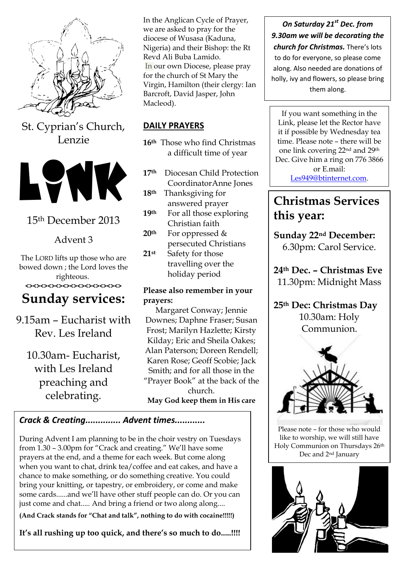

St. Cyprian's Church, Lenzie



# 15th December 2013

Advent 3

The LORD lifts up those who are bowed down ; the Lord loves the righteous. **<><><><><><><><><><><><><>**

# **Sunday services:**

9.15am – Eucharist with Rev. Les Ireland

10.30am- Eucharist, with Les Ireland preaching and celebrating.

In the Anglican Cycle of Prayer, we are asked to pray for the diocese of Wusasa (Kaduna, Nigeria) and their Bishop: the Rt Revd Ali Buba Lamido. In our own Diocese, please pray for the church of St Mary the Virgin, Hamilton (their clergy: Ian Barcroft, David Jasper, John Macleod).

## **DAILY PRAYERS**

**16th** Those who find Christmas a difficult time of year

- **17th** Diocesan Child Protection CoordinatorAnne Jones
- **18th** Thanksgiving for answered prayer
- **19th** For all those exploring Christian faith
- **20th** For oppressed & persecuted Christians
- **21st** Safety for those travelling over the holiday period

### **Please also remember in your prayers:**

Margaret Conway; Jennie Downes; Daphne Fraser; Susan Frost; Marilyn Hazlette; Kirsty Kilday; Eric and Sheila Oakes; Alan Paterson; Doreen Rendell; Karen Rose; Geoff Scobie; Jack Smith; and for all those in the "Prayer Book" at the back of the church. **May God keep them in His care**

# *Crack & Creating.............. Advent times............*

During Advent I am planning to be in the choir vestry on Tuesdays from 1.30 – 3.00pm for "Crack and creating." We'll have some prayers at the end, and a theme for each week. But come along when you want to chat, drink tea/coffee and eat cakes, and have a chance to make something, or do something creative. You could bring your knitting, or tapestry, or embroidery, or come and make some cards......and we'll have other stuff people can do. Or you can just come and chat..... And bring a friend or two along along....

**(And Crack stands for "Chat and talk", nothing to do with cocaine!!!!!)** 

**It's all rushing up too quick, and there's so much to do.....!!!!**

*On Saturday 21st Dec. from 9.30am we will be decorating the church for Christmas.* There's lots to do for everyone, so please come along. Also needed are donations of holly, ivy and flowers, so please bring them along.

If you want something in the Link, please let the Rector have it if possible by Wednesday tea time. Please note – there will be one link covering 22nd and 29th Dec. Give him a ring on 776 3866 or E.mail: [Les949@btinternet.com.](mailto:Les949@btinternet.com)

# **Christmas Services this year:**

**Sunday 22nd December:** 6.30pm: Carol Service.

**24th Dec. – Christmas Eve** 11.30pm: Midnight Mass

**25th Dec: Christmas Day** 10.30am: Holy Communion.



Please note – for those who would like to worship, we will still have Holy Communion on Thursdays 26th Dec and 2nd January